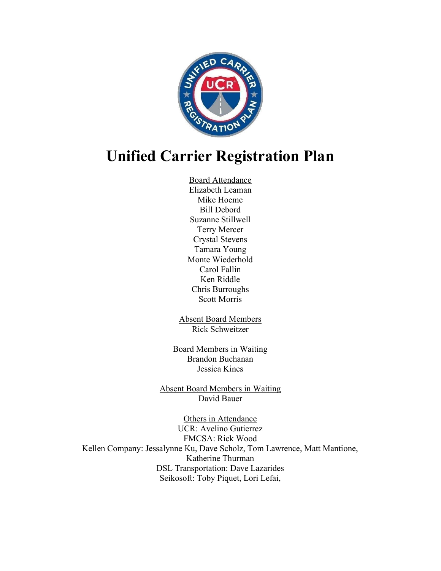

# Unified Carrier Registration Plan

Board Attendance Elizabeth Leaman Mike Hoeme Bill Debord Suzanne Stillwell Terry Mercer Crystal Stevens Tamara Young Monte Wiederhold Carol Fallin Ken Riddle Chris Burroughs Scott Morris

Absent Board Members Rick Schweitzer

Board Members in Waiting Brandon Buchanan Jessica Kines

Absent Board Members in Waiting David Bauer

Others in Attendance UCR: Avelino Gutierrez FMCSA: Rick Wood Kellen Company: Jessalynne Ku, Dave Scholz, Tom Lawrence, Matt Mantione, Katherine Thurman DSL Transportation: Dave Lazarides Seikosoft: Toby Piquet, Lori Lefai,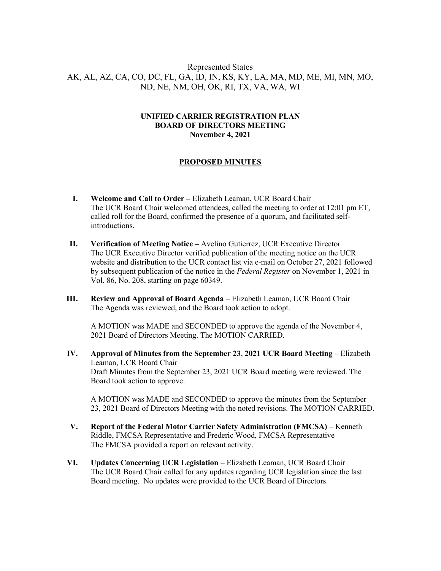## Represented States AK, AL, AZ, CA, CO, DC, FL, GA, ID, IN, KS, KY, LA, MA, MD, ME, MI, MN, MO, ND, NE, NM, OH, OK, RI, TX, VA, WA, WI

#### UNIFIED CARRIER REGISTRATION PLAN BOARD OF DIRECTORS MEETING November 4, 2021

#### PROPOSED MINUTES

- I. Welcome and Call to Order Elizabeth Leaman, UCR Board Chair The UCR Board Chair welcomed attendees, called the meeting to order at 12:01 pm ET, called roll for the Board, confirmed the presence of a quorum, and facilitated selfintroductions.
- II. Verification of Meeting Notice Avelino Gutierrez, UCR Executive Director The UCR Executive Director verified publication of the meeting notice on the UCR website and distribution to the UCR contact list via e-mail on October 27, 2021 followed by subsequent publication of the notice in the Federal Register on November 1, 2021 in Vol. 86, No. 208, starting on page 60349.
- III. Review and Approval of Board Agenda Elizabeth Leaman, UCR Board Chair The Agenda was reviewed, and the Board took action to adopt.

A MOTION was MADE and SECONDED to approve the agenda of the November 4, 2021 Board of Directors Meeting. The MOTION CARRIED.

IV. Approval of Minutes from the September 23, 2021 UCR Board Meeting – Elizabeth Leaman, UCR Board Chair Draft Minutes from the September 23, 2021 UCR Board meeting were reviewed. The Board took action to approve.

A MOTION was MADE and SECONDED to approve the minutes from the September 23, 2021 Board of Directors Meeting with the noted revisions. The MOTION CARRIED.

- V. Report of the Federal Motor Carrier Safety Administration (FMCSA) Kenneth Riddle, FMCSA Representative and Frederic Wood, FMCSA Representative The FMCSA provided a report on relevant activity.
- VI. Updates Concerning UCR Legislation Elizabeth Leaman, UCR Board Chair The UCR Board Chair called for any updates regarding UCR legislation since the last Board meeting. No updates were provided to the UCR Board of Directors.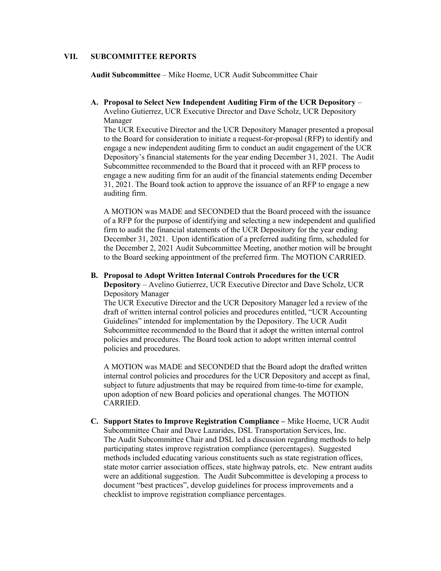#### VII. SUBCOMMITTEE REPORTS

Audit Subcommittee – Mike Hoeme, UCR Audit Subcommittee Chair

A. Proposal to Select New Independent Auditing Firm of the UCR Depository – Avelino Gutierrez, UCR Executive Director and Dave Scholz, UCR Depository Manager

The UCR Executive Director and the UCR Depository Manager presented a proposal to the Board for consideration to initiate a request-for-proposal (RFP) to identify and engage a new independent auditing firm to conduct an audit engagement of the UCR Depository's financial statements for the year ending December 31, 2021. The Audit Subcommittee recommended to the Board that it proceed with an RFP process to engage a new auditing firm for an audit of the financial statements ending December 31, 2021. The Board took action to approve the issuance of an RFP to engage a new auditing firm.

A MOTION was MADE and SECONDED that the Board proceed with the issuance of a RFP for the purpose of identifying and selecting a new independent and qualified firm to audit the financial statements of the UCR Depository for the year ending December 31, 2021. Upon identification of a preferred auditing firm, scheduled for the December 2, 2021 Audit Subcommittee Meeting, another motion will be brought to the Board seeking appointment of the preferred firm. The MOTION CARRIED.

### B. Proposal to Adopt Written Internal Controls Procedures for the UCR

Depository – Avelino Gutierrez, UCR Executive Director and Dave Scholz, UCR Depository Manager

The UCR Executive Director and the UCR Depository Manager led a review of the draft of written internal control policies and procedures entitled, "UCR Accounting Guidelines" intended for implementation by the Depository. The UCR Audit Subcommittee recommended to the Board that it adopt the written internal control policies and procedures. The Board took action to adopt written internal control policies and procedures.

A MOTION was MADE and SECONDED that the Board adopt the drafted written internal control policies and procedures for the UCR Depository and accept as final, subject to future adjustments that may be required from time-to-time for example, upon adoption of new Board policies and operational changes. The MOTION CARRIED.

C. Support States to Improve Registration Compliance – Mike Hoeme, UCR Audit Subcommittee Chair and Dave Lazarides, DSL Transportation Services, Inc. The Audit Subcommittee Chair and DSL led a discussion regarding methods to help participating states improve registration compliance (percentages). Suggested methods included educating various constituents such as state registration offices, state motor carrier association offices, state highway patrols, etc. New entrant audits were an additional suggestion. The Audit Subcommittee is developing a process to document "best practices", develop guidelines for process improvements and a checklist to improve registration compliance percentages.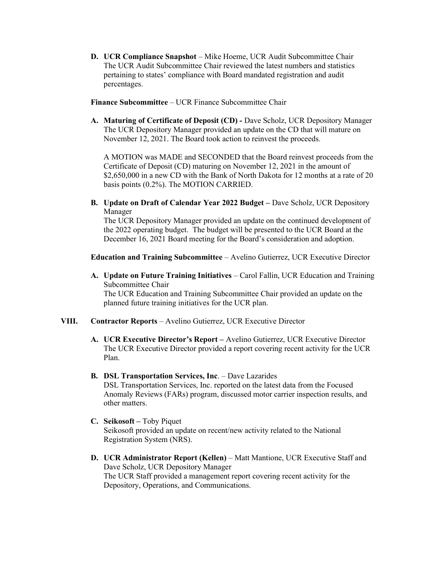D. UCR Compliance Snapshot – Mike Hoeme, UCR Audit Subcommittee Chair The UCR Audit Subcommittee Chair reviewed the latest numbers and statistics pertaining to states' compliance with Board mandated registration and audit percentages.

Finance Subcommittee – UCR Finance Subcommittee Chair

A. Maturing of Certificate of Deposit (CD) - Dave Scholz, UCR Depository Manager The UCR Depository Manager provided an update on the CD that will mature on November 12, 2021. The Board took action to reinvest the proceeds.

A MOTION was MADE and SECONDED that the Board reinvest proceeds from the Certificate of Deposit (CD) maturing on November 12, 2021 in the amount of \$2,650,000 in a new CD with the Bank of North Dakota for 12 months at a rate of 20 basis points (0.2%). The MOTION CARRIED.

B. Update on Draft of Calendar Year 2022 Budget – Dave Scholz, UCR Depository Manager

The UCR Depository Manager provided an update on the continued development of the 2022 operating budget. The budget will be presented to the UCR Board at the December 16, 2021 Board meeting for the Board's consideration and adoption.

Education and Training Subcommittee – Avelino Gutierrez, UCR Executive Director

A. Update on Future Training Initiatives – Carol Fallin, UCR Education and Training Subcommittee Chair The UCR Education and Training Subcommittee Chair provided an update on the

planned future training initiatives for the UCR plan.

- VIII. Contractor Reports Avelino Gutierrez, UCR Executive Director
	- A. UCR Executive Director's Report Avelino Gutierrez, UCR Executive Director The UCR Executive Director provided a report covering recent activity for the UCR Plan.
	- B. DSL Transportation Services, Inc. Dave Lazarides DSL Transportation Services, Inc. reported on the latest data from the Focused Anomaly Reviews (FARs) program, discussed motor carrier inspection results, and other matters.
	- C. Seikosoft Toby Piquet Seikosoft provided an update on recent/new activity related to the National Registration System (NRS).
	- D. UCR Administrator Report (Kellen) Matt Mantione, UCR Executive Staff and Dave Scholz, UCR Depository Manager The UCR Staff provided a management report covering recent activity for the Depository, Operations, and Communications.